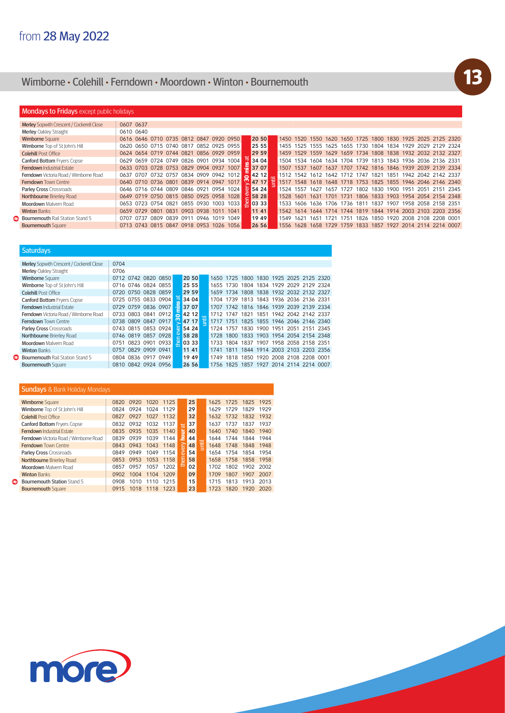## Wimborne **•** Colehill **•** Ferndown **•** Moordown **•** Winton **•** Bournemouth

### **Mondays to Fridays** except public holidays

**Saturdays** 

| <b>Merley</b> Sopwith Crescent / Cockerell Close | 0607 0637 |                |                                         |      |                |      |      |                     |                      |                            |      |           |      |                                                             |      |      |                                    |      |                          |  |
|--------------------------------------------------|-----------|----------------|-----------------------------------------|------|----------------|------|------|---------------------|----------------------|----------------------------|------|-----------|------|-------------------------------------------------------------|------|------|------------------------------------|------|--------------------------|--|
| Merley Oakley Straight                           | 0610 0640 |                |                                         |      |                |      |      |                     |                      |                            |      |           |      |                                                             |      |      |                                    |      |                          |  |
| <b>Wimborne Square</b>                           |           |                | 0616 0646 0710 0735 0812 0847 0920 0950 |      |                |      |      |                     | 20 50                | 1450 1520                  |      |           |      | 1550 1620 1650 1725 1800 1830                               |      |      |                                    |      | 1925 2025 2125 2320      |  |
| Wimborne Top of St John's Hill                   |           |                | 0620 0650 0715 0740 0817 0852 0925 0955 |      |                |      |      |                     | 25 55                |                            |      |           |      | 1455 1525 1555 1625 1655 1730 1804 1834 1929 2029 2129 2324 |      |      |                                    |      |                          |  |
| <b>Colehill Post Office</b>                      |           |                | 0624 0654 0719 0744 0821                |      |                |      |      | 0856 0929 0959      | 29 59                |                            |      |           |      | 1459 1529 1559 1629 1659 1734 1808 1838 1932 2032 2132 2327 |      |      |                                    |      |                          |  |
| <b>Canford Bottom Fryers Copse</b>               |           |                | 0629 0659 0724 0749 0826 0901 0934 1004 |      |                |      |      |                     | 3404                 | 1504                       | 1534 | 1604      |      | 1634 1704                                                   | 1739 |      | 1813 1843 1936 2036 2136 2331      |      |                          |  |
| <b>Ferndown Industrial Estate</b>                |           |                | 0633 0703 0728 0753 0829 0904 0937 1007 |      |                |      |      |                     | $\equiv$ 37 07       | 1507                       |      |           |      | 1537 1607 1637 1707 1742 1816 1846 1939 2039 2139 2334      |      |      |                                    |      |                          |  |
| Ferndown Victoria Road / Wimborne Road           | 0637      |                | 0707 0732 0757 0834 0909 0942 1012      |      |                |      |      |                     | $-4212$              | 1512 1542 1612 1642 1712 1 |      |           |      |                                                             | 1747 | 1821 | 1851                               |      | 1942 2042 2142 2337      |  |
| <b>Ferndown Town Centre</b>                      |           |                | 0640 0710 0736 0801 0839 0914 0947 1017 |      |                |      |      |                     | 47 17                |                            |      |           |      | 1517 1548 1618 1648 1718 1753 1825 1855 1946 2046 2146 2340 |      |      |                                    |      |                          |  |
| Parley Cross Crossroads                          |           |                | 0646 0716 0744 0809 0846 0921 0954 1024 |      |                |      |      |                     | $\overline{0}$ 54 24 | 1524 1557                  |      | 1627      | 1657 | 1727                                                        | 1802 | 1830 | 1900                               | 1951 | 2051 2151 2345           |  |
| Northbourne Brierley Road                        |           |                | 0649 0719 0750 0815 0850 0925 0958 1028 |      |                |      |      |                     | 25828                | 1528 1601                  |      | 1631 1701 |      | 1731                                                        |      |      | 1806 1833 1903 1954 2054 2154 2348 |      |                          |  |
| <b>Moordown</b> Malvern Road                     |           |                | 0653 0723 0754 0821 0855 0930 1003 1033 |      |                |      |      |                     | E 03 33              | 1533                       | 1606 |           |      | 1636 1706 1736                                              | 1811 | 1837 | 1907                               |      | 1958 2058 2158 2351      |  |
| <b>Winton Banks</b>                              |           | 0659 0729 0801 |                                         | 0831 | 0903 0938 1011 |      |      | 1041                | 11 41                |                            |      |           |      | 1542 1614 1644 1714 1744 1819 1844 1914 2003 2103 2203 2356 |      |      |                                    |      |                          |  |
| Bournemouth Rail Station Stand 5                 | 0707      | 0737           | <b>0809</b>                             | 0839 | 0911           | 0946 | 1019 | 1049                | 19 49                | 1549                       | 1621 | 1651      | 1721 | 1751                                                        | 1826 | 1850 |                                    |      | 1920 2008 2108 2208 0001 |  |
| <b>Bournemouth Square</b>                        |           |                | 0713 0743 0815 0847                     |      |                |      |      | 0918 0953 1026 1056 | 26 56                |                            |      |           |      | 1556 1628 1658 1729 1759 1833                               |      |      | 1857 1927 2014 2114 2214 0007      |      |                          |  |

| Merley Sopwith Crescent / Cockerell Close | 0704                |                     |       |                     |          |  |                                         |           |                                         |      |           |                          |                |      |
|-------------------------------------------|---------------------|---------------------|-------|---------------------|----------|--|-----------------------------------------|-----------|-----------------------------------------|------|-----------|--------------------------|----------------|------|
| Merley Oakley Straight                    | 0706                |                     |       |                     |          |  |                                         |           |                                         |      |           |                          |                |      |
| <b>Wimborne Square</b>                    |                     | 0712 0742 0820 0850 |       |                     | 20 50    |  |                                         |           | 1650 1725 1800 1830 1925 2025 2125 2320 |      |           |                          |                |      |
| Wimborne Top of St John's Hill            |                     | 0716 0746 0824 0855 |       |                     | 25 55    |  |                                         |           | 1655 1730 1804 1834 1929 2029 2129 2324 |      |           |                          |                |      |
| <b>Colehill Post Office</b>               |                     | 0720 0750 0828 0859 |       |                     | 29 59    |  |                                         |           | 1659 1734 1808 1838 1932 2032 2132 2327 |      |           |                          |                |      |
| <b>Canford Bottom Frvers Copse</b>        |                     | 0725 0755 0833 0904 |       | ್                   | 34 04    |  |                                         |           | 1704 1739 1813 1843 1936 2036 2136 2331 |      |           |                          |                |      |
| <b>Ferndown Industrial Estate</b>         |                     | 0729 0759 0836 0907 |       |                     | $= 3707$ |  |                                         |           | 1707 1742 1816 1846 1939 2039 2139 2334 |      |           |                          |                |      |
| Ferndown Victoria Road / Wimborne Road    |                     | 0733 0803 0841 0912 |       |                     | 42 12    |  |                                         |           | 1712 1747 1821                          |      |           | 1851 1942 2042 2142 2337 |                |      |
| Ferndown Town Centre                      | 0738 0809 0847 0917 | ന                   | 47 17 | 泪                   |          |  | 1717 1751 1825 1855 1946 2046 2146 2340 |           |                                         |      |           |                          |                |      |
| Parley Cross Crossroads                   |                     | 0743 0815 0853 0924 |       | $\overline{\omega}$ | 54 24    |  |                                         | 1724 1757 | 1830                                    |      | 1900 1951 |                          | 2051 2151 2345 |      |
| Northbourne Brierley Road                 |                     | 0746 0819 0857 0928 |       | Φ                   | 58 28    |  |                                         |           | 1728 1800 1833 1903 1954 2054 2154 2348 |      |           |                          |                |      |
| Moordown Malvern Road                     | 0751                | 0823 0901 0933      |       |                     | 은 03 33  |  | 1733                                    |           | 1804 1837 1907 1958 2058 2158 2351      |      |           |                          |                |      |
| <b>Winton Banks</b>                       | 0757                | 0829 0909           | 0941  |                     | 11 41    |  | 1741                                    | 1811      | 1844 1914 2003 2103 2203 2356           |      |           |                          |                |      |
| Bournemouth Rail Station Stand 5          |                     | 0804 0836 0917 0949 |       |                     | 19 49    |  | 1749                                    |           | 1818 1850 1920 2008 2108 2208 0001      |      |           |                          |                |      |
| <b>Bournemouth Square</b>                 |                     | 0810 0842 0924 0956 |       |                     | 26 56    |  | 1756                                    | 1825      | 1857                                    | 1927 | 2014 2114 |                          | 2214           | 0007 |

#### **Sundays & Bank Holiday Mondays** Wimborne Square 0820 0920 1020 1125<br>Wimborne Top of St John's Hill 0824 0924 1024 1129 1625 1725 1825 1925 25 Wimborne Top of St John's Hill 0824 0924 1024 1129 29<br>Colehill Post Office 0827 0927 1027 1132 32 Colehill Post Office 0827 0927 1027 1132 32 1632 1732 1832 1932 Canford Bottom Fryers Copse 0832 0932 1032 1137 37 1637 1737 1837 1937 1937 1937 1937 1937 then every **hour** at **0835 0935 1035 1140 40 1640 1740 1840 1940**<br>0839 0939 1039 1144 **2 44** 1644 1744 1844 1944 Ferndown Victoria Road / Wimborne Road ī Ferndown Town Centre 2004 1043 0943 1043 1148 248 1248 1748 1848 1948 Parley Cross Crossroads 0849 0949 1049 1154 8 54 1654 1754 1854 1954<br>Northbourne Brierley Road 0853 0953 1053 1158 58 1658 1758 1858 1958 Northbourne Brierley Road 0853 0953 1053 1158 Moordown Malvern Road 0857 0957 1057 1202 **02** 1702 1802 1902 2002 Winton Banks **0902 1004 1104 1209 09 1709 1807 1907 2007**  $\bullet$ **Bournemouth Station Stand 5 10908 1010 1110 1215 15 1715 1813 1913 2013 Bournemouth Square 1920 1015 1018 1118 1223 23 1723 1820 1920 2020**